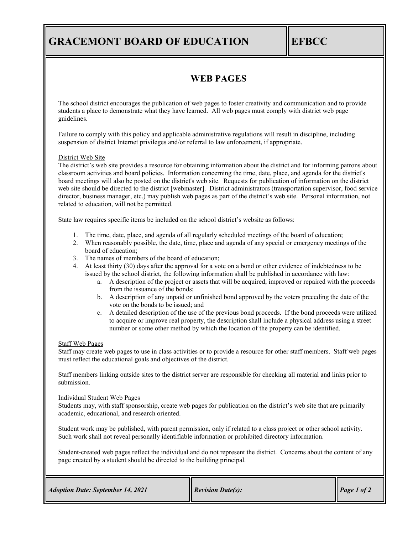# **GRACEMONT BOARD OF EDUCATION EFBCC**

### **WEB PAGES**

The school district encourages the publication of web pages to foster creativity and communication and to provide students a place to demonstrate what they have learned. All web pages must comply with district web page guidelines.

Failure to comply with this policy and applicable administrative regulations will result in discipline, including suspension of district Internet privileges and/or referral to law enforcement, if appropriate.

### District Web Site

The district's web site provides a resource for obtaining information about the district and for informing patrons about classroom activities and board policies. Information concerning the time, date, place, and agenda for the district's board meetings will also be posted on the district's web site. Requests for publication of information on the district web site should be directed to the district [webmaster]. District administrators (transportation supervisor, food service director, business manager, etc.) may publish web pages as part of the district's web site. Personal information, not related to education, will not be permitted.

State law requires specific items be included on the school district's website as follows:

- 1. The time, date, place, and agenda of all regularly scheduled meetings of the board of education;
- 2. When reasonably possible, the date, time, place and agenda of any special or emergency meetings of the board of education;
- 3. The names of members of the board of education;
- 4. At least thirty (30) days after the approval for a vote on a bond or other evidence of indebtedness to be issued by the school district, the following information shall be published in accordance with law:
	- a. A description of the project or assets that will be acquired, improved or repaired with the proceeds from the issuance of the bonds;
	- b. A description of any unpaid or unfinished bond approved by the voters preceding the date of the vote on the bonds to be issued; and
	- c. A detailed description of the use of the previous bond proceeds. If the bond proceeds were utilized to acquire or improve real property, the description shall include a physical address using a street number or some other method by which the location of the property can be identified.

### Staff Web Pages

Staff may create web pages to use in class activities or to provide a resource for other staff members. Staff web pages must reflect the educational goals and objectives of the district.

Staff members linking outside sites to the district server are responsible for checking all material and links prior to submission.

#### Individual Student Web Pages

Students may, with staff sponsorship, create web pages for publication on the district's web site that are primarily academic, educational, and research oriented.

Student work may be published, with parent permission, only if related to a class project or other school activity. Such work shall not reveal personally identifiable information or prohibited directory information.

Student-created web pages reflect the individual and do not represent the district. Concerns about the content of any page created by a student should be directed to the building principal.

| <b>Adoption Date: September 14, 2021</b> | <b>Revision Date(s):</b> | $\blacksquare$ Page 1 of 2 |
|------------------------------------------|--------------------------|----------------------------|
|------------------------------------------|--------------------------|----------------------------|